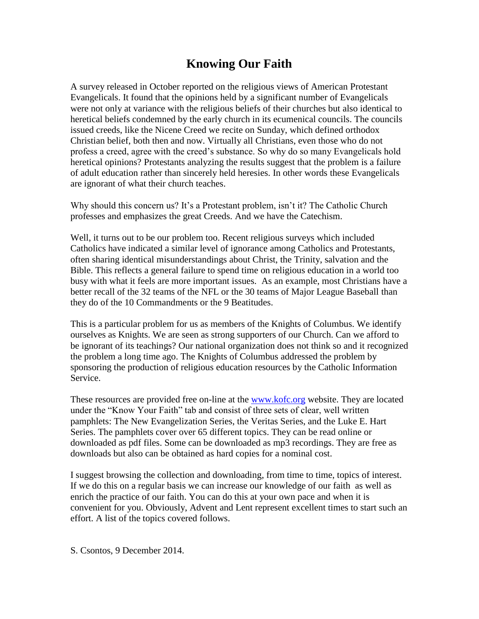# **Knowing Our Faith**

A survey released in October reported on the religious views of American Protestant Evangelicals. It found that the opinions held by a significant number of Evangelicals were not only at variance with the religious beliefs of their churches but also identical to heretical beliefs condemned by the early church in its ecumenical councils. The councils issued creeds, like the Nicene Creed we recite on Sunday, which defined orthodox Christian belief, both then and now. Virtually all Christians, even those who do not profess a creed, agree with the creed's substance. So why do so many Evangelicals hold heretical opinions? Protestants analyzing the results suggest that the problem is a failure of adult education rather than sincerely held heresies. In other words these Evangelicals are ignorant of what their church teaches.

Why should this concern us? It's a Protestant problem, isn't it? The Catholic Church professes and emphasizes the great Creeds. And we have the Catechism.

Well, it turns out to be our problem too. Recent religious surveys which included Catholics have indicated a similar level of ignorance among Catholics and Protestants, often sharing identical misunderstandings about Christ, the Trinity, salvation and the Bible. This reflects a general failure to spend time on religious education in a world too busy with what it feels are more important issues. As an example, most Christians have a better recall of the 32 teams of the NFL or the 30 teams of Major League Baseball than they do of the 10 Commandments or the 9 Beatitudes.

This is a particular problem for us as members of the Knights of Columbus. We identify ourselves as Knights. We are seen as strong supporters of our Church. Can we afford to be ignorant of its teachings? Our national organization does not think so and it recognized the problem a long time ago. The Knights of Columbus addressed the problem by sponsoring the production of religious education resources by the Catholic Information Service.

These resources are provided free on-line at the [www.kofc.org](http://www.kofc.org/) website. They are located under the "Know Your Faith" tab and consist of three sets of clear, well written pamphlets: The New Evangelization Series, the Veritas Series, and the Luke E. Hart Series. The pamphlets cover over 65 different topics. They can be read online or downloaded as pdf files. Some can be downloaded as mp3 recordings. They are free as downloads but also can be obtained as hard copies for a nominal cost.

I suggest browsing the collection and downloading, from time to time, topics of interest. If we do this on a regular basis we can increase our knowledge of our faith as well as enrich the practice of our faith. You can do this at your own pace and when it is convenient for you. Obviously, Advent and Lent represent excellent times to start such an effort. A list of the topics covered follows.

S. Csontos, 9 December 2014.